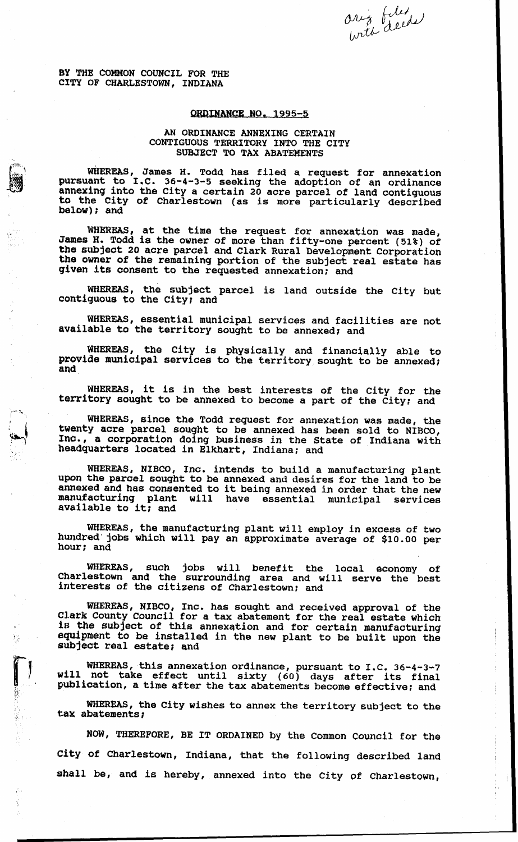ariz filed

i.

**BY THE common COUNCIL FOR THE CITY OF CHARLESTOWN, INDIANA** 

## **CRDINANCE NO. 1995-5**

## *AN* ORDINANCE ANNEXING CERTAIN CONTIGUOUS TERRITORY **into** THE CITY **SUBJECT** TO **TAX ABATEMENTS**

**WHEREAS, James H. Todd has filed a request far annexation pursuant to I.C. 36-4-3-5 seeking the adoption** *of* **an ordinance annexing into the City a certain 20 acre parcel of land contiguous to the City of Charlestown (as is more particularly described below); and** 

**WHEREAS, at the time the request for annexation was made, James H. Todd is the owner of more than fifty-one percent (51%) of the subject 20 acre parcel and Clark Rural Development Corporation the owner** *of* **the remaining portion of the subject real estate has given its consent to the requested annexation; and** 

**WHEREAS, the subject parcel is land outside the City but contiguous to the City: and** 

**WHEREAS, essential municipal services and facilities are not available to the territory sought to be annexed; and** 

**WHEREAS, the City is physically and financially able to provide municipal services to the territory sought to be annexed: and** 

WHEREAS, it is in the best interests of the City for the **territory sought to be annexed to become a part of the City: and** 

**WHEREAS, since the Todd request for annexation was made, the twenty acre parcel sought to be annexed has been sold** *to* **NIBCO, Inc., a corporation doing business in the State of Indiana with headquarters located in Elkhart, Indiana; and** 

**WHEREAS, NIBCO, Inc. intends to build a manufacturing plant upon the parcel sought to be annexed and desires for the land to be annexed and has consented to it being annexed in order that the new manufacturing plant will have essential municipal services available to it: and** 

**WHEREAS, the manufacturing plant will employ in excess of two hundred' jobs which will pay an approximate average of \$10.00 per hour: and** 

**WHEREAS, such jobs will benefit the local economy of Charlestown and the surrounding area and will serve the best interests of the citizens of Charlestown; and** 

**WHEREAS, NIBCO, Inc. has sought and received approval of the Clark County Council for a tax abatement for the real estate which**  *is* **the subject of this annexation and for certain manufacturing equipment to be installed in the new plant to be built upon the subject real estate; and** 

**WHEREAS, this annexation ordinance, pursuant to I.C. 36-4-3-7 will not take effect until sixty (60) days after its final publication, a time after the tax abatements become effective; and** 

**WHEREAS, the** City **wishes to annex the territory subject to the tax abatements;** 

**NOW, THEREFORE, BE IT ORDAINED by the Common Council, for the City of Charlestown, Indiana, that the following described land shall be, and is hereby, annexed into the City of Charlestown,**